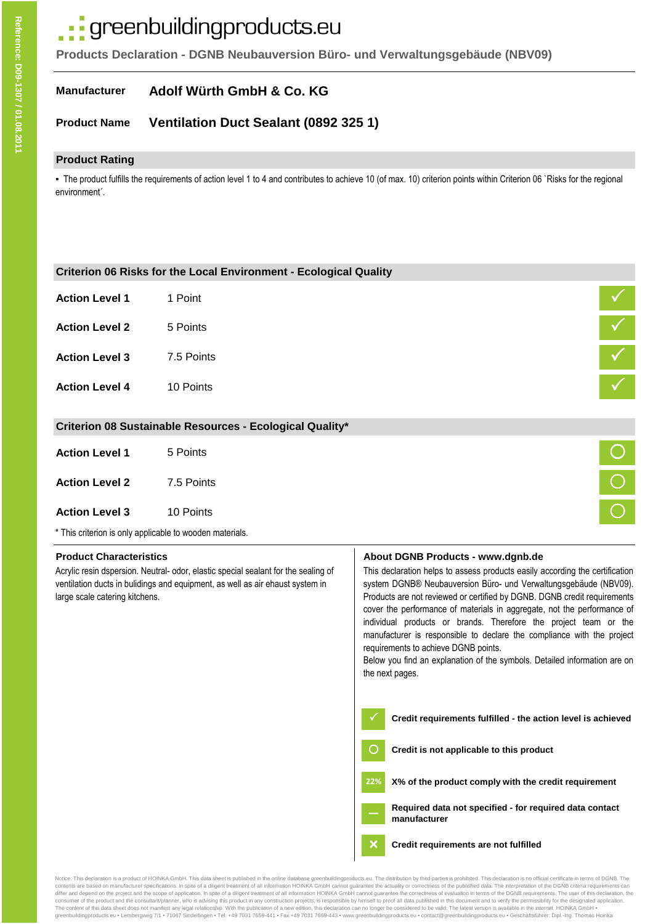# ·· greenbuildingproducts.eu

**Products Declaration - DGNB Neubauversion Büro- und Verwaltungsgebäude (NBV09)**

#### **Manufacturer Adolf Würth GmbH & Co. KG**

#### **Product Name Ventilation Duct Sealant (0892 325 1)**

### **Product Rating**

▪ The product fulfills the requirements of action level 1 to 4 and contributes to achieve 10 (of max. 10) criterion points within Criterion 06 `Risks for the regional environment´.

| Criterion 06 Risks for the Local Environment - Ecological Quality                                                   |            |                                                                                                                   |  |  |  |  |  |
|---------------------------------------------------------------------------------------------------------------------|------------|-------------------------------------------------------------------------------------------------------------------|--|--|--|--|--|
| <b>Action Level 1</b>                                                                                               | 1 Point    |                                                                                                                   |  |  |  |  |  |
| <b>Action Level 2</b>                                                                                               | 5 Points   |                                                                                                                   |  |  |  |  |  |
| <b>Action Level 3</b>                                                                                               | 7.5 Points |                                                                                                                   |  |  |  |  |  |
| <b>Action Level 4</b>                                                                                               | 10 Points  |                                                                                                                   |  |  |  |  |  |
| Criterion 08 Sustainable Resources - Ecological Quality*                                                            |            |                                                                                                                   |  |  |  |  |  |
| <b>Action Level 1</b>                                                                                               | 5 Points   |                                                                                                                   |  |  |  |  |  |
| <b>Action Level 2</b>                                                                                               | 7.5 Points | $\bullet$                                                                                                         |  |  |  |  |  |
| <b>Action Level 3</b>                                                                                               | 10 Points  |                                                                                                                   |  |  |  |  |  |
| * This criterion is only applicable to wooden materials.                                                            |            |                                                                                                                   |  |  |  |  |  |
| <b>Product Characteristics</b><br>Acrylic resin dspersion. Neutral-odor, elastic special sealant for the sealing of |            | About DGNB Products - www.dgnb.de<br>This declaration helps to assess products easily according the certification |  |  |  |  |  |

ventilation ducts in bulidings and equipment, as well as air ehaust system in large scale catering kitchens.

system DGNB® Neubauversion Büro- und Verwaltungsgebäude (NBV09). Products are not reviewed or certified by DGNB. DGNB credit requirements cover the performance of materials in aggregate, not the performance of individual products or brands. Therefore the project team or the manufacturer is responsible to declare the compliance with the project requirements to achieve DGNB points.

Below you find an explanation of the symbols. Detailed information are on the next pages.

|     | Credit requirements fulfilled - the action level is achieved            |
|-----|-------------------------------------------------------------------------|
|     | Credit is not applicable to this product                                |
| 22% | X% of the product comply with the credit requirement                    |
|     | Required data not specified - for required data contact<br>manufacturer |

**Credit requirements are not fulfilled** 

Notice: This declaration is a product of HOINKA GmbH. This data sheet is published in the online database greenbuildingproducts.eu. The distribution by third parties is prohibited. This declaration is no official certifica contents are based on manufacturer specifications. In spite of a diligent treatment of all information HOINKA GmbH cannot guarantee the actuality or correctness of the published data. The interpretation of the DGNB criteri consumer of the product and the consultant/planner, who is advising this product in any construction projects, is responsible by himself to proof all data published in this document and to verify the permissibility for the The content of this data sheet does not manifest any legal relationship. With the publication of a new edition, this declaration can no longer be considered to be valid. The latest version is available in the internet. HOI